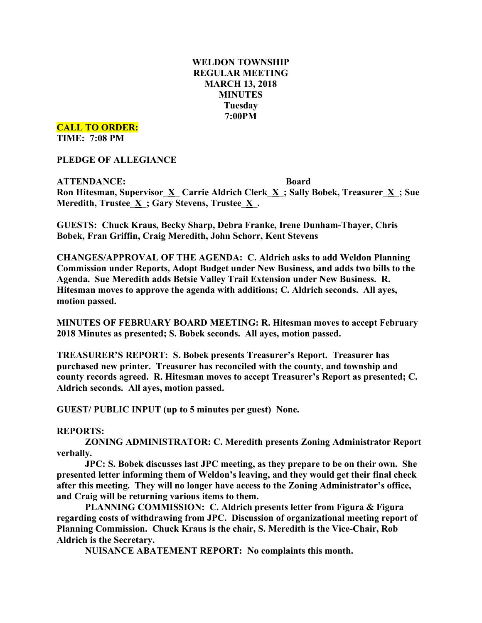# **WELDON TOWNSHIP REGULAR MEETING MARCH 13, 2018 MINUTES Tuesday 7:00PM**

**CALL TO ORDER:**

**TIME: 7:08 PM**

**PLEDGE OF ALLEGIANCE**

**ATTENDANCE: Board Ron Hitesman, Supervisor\_X\_ Carrie Aldrich Clerk\_X\_; Sally Bobek, Treasurer\_X\_; Sue Meredith, Trustee**  $\underline{X}$ **; Gary Stevens, Trustee**  $\underline{X}$ **.** 

**GUESTS: Chuck Kraus, Becky Sharp, Debra Franke, Irene Dunham-Thayer, Chris Bobek, Fran Griffin, Craig Meredith, John Schorr, Kent Stevens**

**CHANGES/APPROVAL OF THE AGENDA: C. Aldrich asks to add Weldon Planning Commission under Reports, Adopt Budget under New Business, and adds two bills to the Agenda. Sue Meredith adds Betsie Valley Trail Extension under New Business. R. Hitesman moves to approve the agenda with additions; C. Aldrich seconds. All ayes, motion passed.**

**MINUTES OF FEBRUARY BOARD MEETING: R. Hitesman moves to accept February 2018 Minutes as presented; S. Bobek seconds. All ayes, motion passed.**

**TREASURER'S REPORT: S. Bobek presents Treasurer's Report. Treasurer has purchased new printer. Treasurer has reconciled with the county, and township and county records agreed. R. Hitesman moves to accept Treasurer's Report as presented; C. Aldrich seconds. All ayes, motion passed.**

**GUEST/ PUBLIC INPUT (up to 5 minutes per guest) None.**

#### **REPORTS:**

**ZONING ADMINISTRATOR: C. Meredith presents Zoning Administrator Report verbally.**

**JPC: S. Bobek discusses last JPC meeting, as they prepare to be on their own. She presented letter informing them of Weldon's leaving, and they would get their final check after this meeting. They will no longer have access to the Zoning Administrator's office, and Craig will be returning various items to them.**

**PLANNING COMMISSION: C. Aldrich presents letter from Figura & Figura regarding costs of withdrawing from JPC. Discussion of organizational meeting report of Planning Commission. Chuck Kraus is the chair, S. Meredith is the Vice-Chair, Rob Aldrich is the Secretary.**

**NUISANCE ABATEMENT REPORT: No complaints this month.**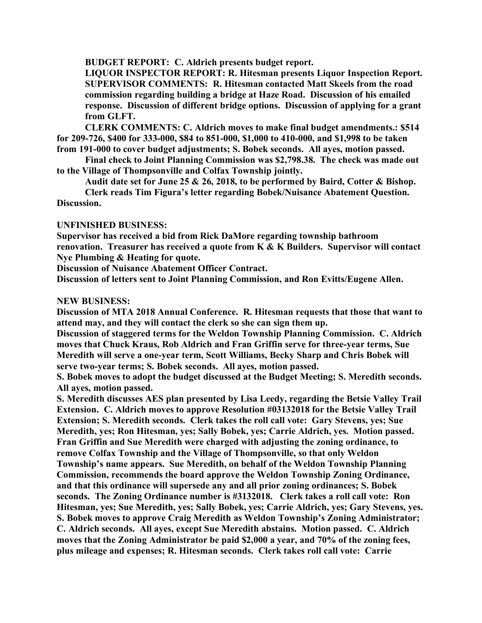**BUDGET REPORT: C. Aldrich presents budget report.**

**LIQUOR INSPECTOR REPORT: R. Hitesman presents Liquor Inspection Report. SUPERVISOR COMMENTS: R. Hitesman contacted Matt Skeels from the road commission regarding building a bridge at Haze Road. Discussion of his emailed response. Discussion of different bridge options. Discussion of applying for a grant from GLFT.**

**CLERK COMMENTS: C. Aldrich moves to make final budget amendments.: \$514 for 209-726, \$400 for 333-000, \$84 to 851-000, \$1,000 to 410-000, and \$1,998 to be taken from 191-000 to cover budget adjustments; S. Bobek seconds. All ayes, motion passed.**

**Final check to Joint Planning Commission was \$2,798.38. The check was made out to the Village of Thompsonville and Colfax Township jointly.**

**Audit date set for June 25 & 26, 2018, to be performed by Baird, Cotter & Bishop.**

**Clerk reads Tim Figura's letter regarding Bobek/Nuisance Abatement Question. Discussion.**

## **UNFINISHED BUSINESS:**

**Supervisor has received a bid from Rick DaMore regarding township bathroom renovation. Treasurer has received a quote from K & K Builders. Supervisor will contact Nye Plumbing & Heating for quote.**

**Discussion of Nuisance Abatement Officer Contract.**

**Discussion of letters sent to Joint Planning Commission, and Ron Evitts/Eugene Allen.**

### **NEW BUSINESS:**

**Discussion of MTA 2018 Annual Conference. R. Hitesman requests that those that want to attend may, and they will contact the clerk so she can sign them up.**

**Discussion of staggered terms for the Weldon Township Planning Commission. C. Aldrich moves that Chuck Kraus, Rob Aldrich and Fran Griffin serve for three-year terms, Sue Meredith will serve a one-year term, Scott Williams, Becky Sharp and Chris Bobek will serve two-year terms; S. Bobek seconds. All ayes, motion passed.**

**S. Bobek moves to adopt the budget discussed at the Budget Meeting; S. Meredith seconds. All ayes, motion passed.**

**S. Meredith discusses AES plan presented by Lisa Leedy, regarding the Betsie Valley Trail Extension. C. Aldrich moves to approve Resolution #03132018 for the Betsie Valley Trail Extension; S. Meredith seconds. Clerk takes the roll call vote: Gary Stevens, yes; Sue Meredith, yes; Ron Hitesman, yes; Sally Bobek, yes; Carrie Aldrich, yes. Motion passed. Fran Griffin and Sue Meredith were charged with adjusting the zoning ordinance, to remove Colfax Township and the Village of Thompsonville, so that only Weldon Township's name appears. Sue Meredith, on behalf of the Weldon Township Planning Commission, recommends the board approve the Weldon Township Zoning Ordinance, and that this ordinance will supersede any and all prior zoning ordinances; S. Bobek seconds. The Zoning Ordinance number is #3132018. Clerk takes a roll call vote: Ron Hitesman, yes; Sue Meredith, yes; Sally Bobek, yes; Carrie Aldrich, yes; Gary Stevens, yes. S. Bobek moves to approve Craig Meredith as Weldon Township's Zoning Administrator; C. Aldrich seconds. All ayes, except Sue Meredith abstains. Motion passed. C. Aldrich moves that the Zoning Administrator be paid \$2,000 a year, and 70% of the zoning fees, plus mileage and expenses; R. Hitesman seconds. Clerk takes roll call vote: Carrie**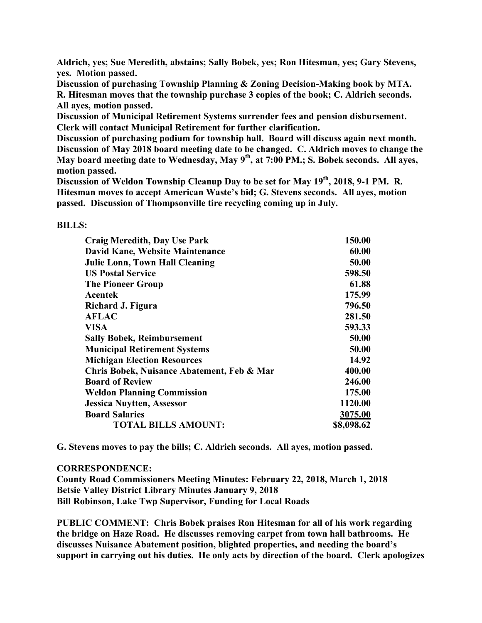**Aldrich, yes; Sue Meredith, abstains; Sally Bobek, yes; Ron Hitesman, yes; Gary Stevens, yes. Motion passed.**

**Discussion of purchasing Township Planning & Zoning Decision-Making book by MTA. R. Hitesman moves that the township purchase 3 copies of the book; C. Aldrich seconds. All ayes, motion passed.**

**Discussion of Municipal Retirement Systems surrender fees and pension disbursement. Clerk will contact Municipal Retirement for further clarification.**

**Discussion of purchasing podium for township hall. Board will discuss again next month. Discussion of May 2018 board meeting date to be changed. C. Aldrich moves to change the May board meeting date to Wednesday, May 9th , at 7:00 PM.; S. Bobek seconds. All ayes, motion passed.**

**Discussion of Weldon Township Cleanup Day to be set for May 19th, 2018, 9-1 PM. R. Hitesman moves to accept American Waste's bid; G. Stevens seconds. All ayes, motion passed. Discussion of Thompsonville tire recycling coming up in July.**

## **BILLS:**

| <b>Craig Meredith, Day Use Park</b>        | 150.00     |
|--------------------------------------------|------------|
| David Kane, Website Maintenance            | 60.00      |
| <b>Julie Lonn, Town Hall Cleaning</b>      | 50.00      |
| <b>US Postal Service</b>                   | 598.50     |
| <b>The Pioneer Group</b>                   | 61.88      |
| Acentek                                    | 175.99     |
| Richard J. Figura                          | 796.50     |
| <b>AFLAC</b>                               | 281.50     |
| <b>VISA</b>                                | 593.33     |
| <b>Sally Bobek, Reimbursement</b>          | 50.00      |
| <b>Municipal Retirement Systems</b>        | 50.00      |
| <b>Michigan Election Resources</b>         | 14.92      |
| Chris Bobek, Nuisance Abatement, Feb & Mar | 400.00     |
| <b>Board of Review</b>                     | 246.00     |
| <b>Weldon Planning Commission</b>          | 175.00     |
| <b>Jessica Nuytten, Assessor</b>           | 1120.00    |
| <b>Board Salaries</b>                      | 3075.00    |
| <b>TOTAL BILLS AMOUNT:</b>                 | \$8,098.62 |

**G. Stevens moves to pay the bills; C. Aldrich seconds. All ayes, motion passed.**

## **CORRESPONDENCE:**

**County Road Commissioners Meeting Minutes: February 22, 2018, March 1, 2018 Betsie Valley District Library Minutes January 9, 2018 Bill Robinson, Lake Twp Supervisor, Funding for Local Roads**

**PUBLIC COMMENT: Chris Bobek praises Ron Hitesman for all of his work regarding the bridge on Haze Road. He discusses removing carpet from town hall bathrooms. He discusses Nuisance Abatement position, blighted properties, and needing the board's support in carrying out his duties. He only acts by direction of the board. Clerk apologizes**